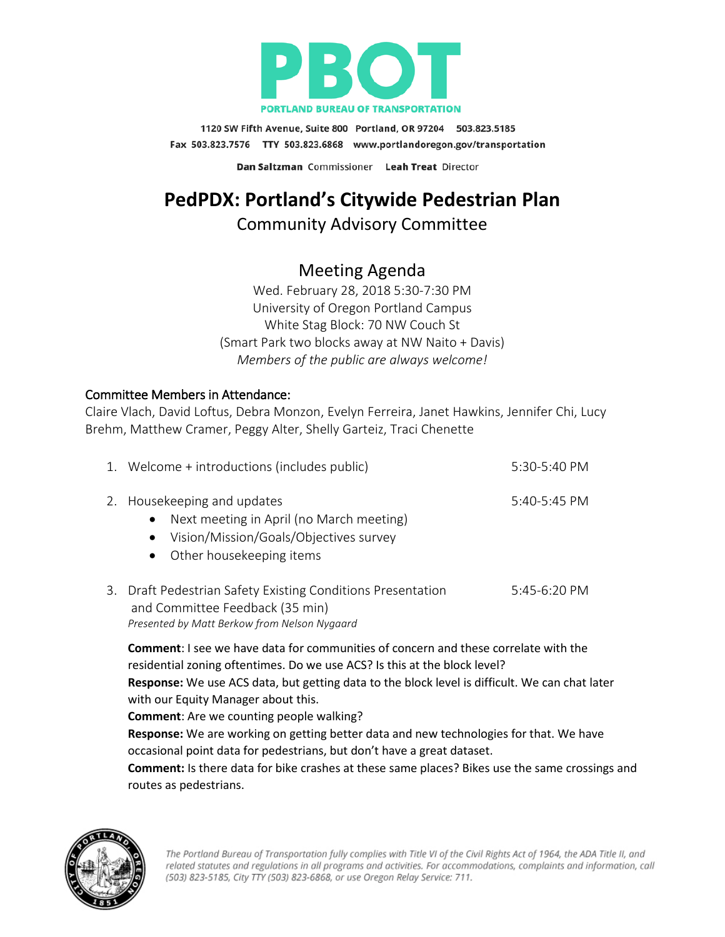

1120 SW Fifth Avenue, Suite 800 Portland, OR 97204 503.823.5185 Fax 503.823.7576 TTY 503.823.6868 www.portlandoregon.gov/transportation

Dan Saltzman Commissioner Leah Treat Director

# **PedPDX: Portland's Citywide Pedestrian Plan**

## Community Advisory Committee

## Meeting Agenda

Wed. February 28, 2018 5:30-7:30 PM University of Oregon Portland Campus White Stag Block: 70 NW Couch St (Smart Park two blocks away at NW Naito + Davis) *Members of the public are always welcome!*

#### Committee Members in Attendance:

Claire Vlach, David Loftus, Debra Monzon, Evelyn Ferreira, Janet Hawkins, Jennifer Chi, Lucy Brehm, Matthew Cramer, Peggy Alter, Shelly Garteiz, Traci Chenette

| 1. Welcome + introductions (includes public)                                                                                                                              | $5:30-5:40 \text{ PM}$         |
|---------------------------------------------------------------------------------------------------------------------------------------------------------------------------|--------------------------------|
| 2. Housekeeping and updates<br>Next meeting in April (no March meeting)<br>$\bullet$<br>Vision/Mission/Goals/Objectives survey<br>$\bullet$<br>• Other housekeeping items | $5:40-5:45$ PM                 |
| Droft Dodoctrion Cofety Evicting Conditions Dressontation                                                                                                                 | $F.$ $A F.$ $C.$ $D.$ $D.$ $A$ |

3. Draft Pedestrian Safety Existing Conditions Presentation 5:45-6:20 PM and Committee Feedback (35 min) *Presented by Matt Berkow from Nelson Nygaard*

**Comment**: I see we have data for communities of concern and these correlate with the residential zoning oftentimes. Do we use ACS? Is this at the block level? **Response:** We use ACS data, but getting data to the block level is difficult. We can chat later with our Equity Manager about this.

**Comment**: Are we counting people walking?

**Response:** We are working on getting better data and new technologies for that. We have occasional point data for pedestrians, but don't have a great dataset.

**Comment:** Is there data for bike crashes at these same places? Bikes use the same crossings and routes as pedestrians.

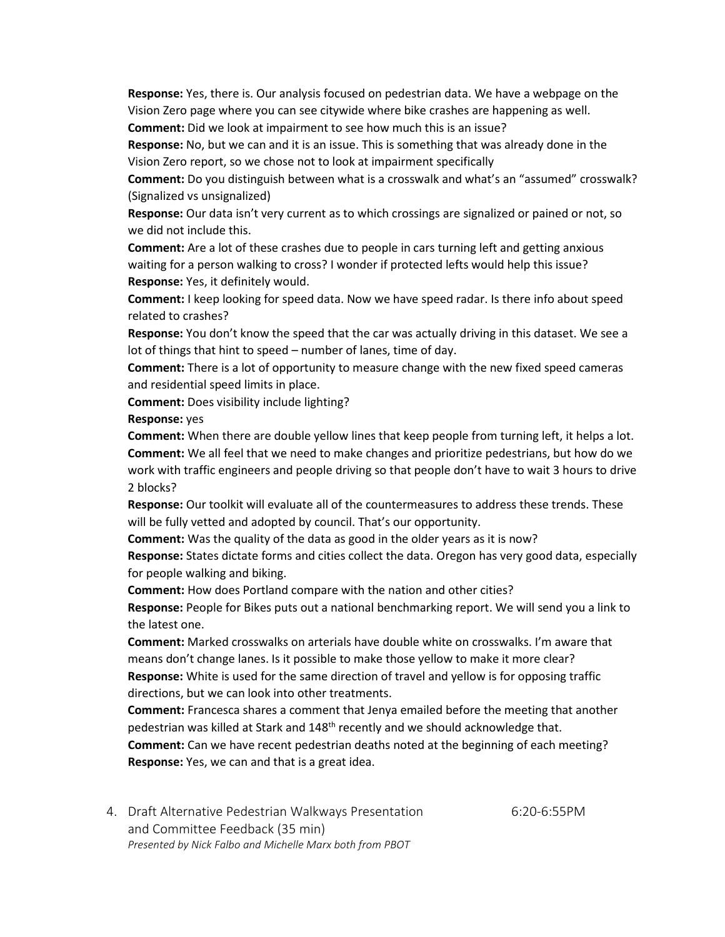**Response:** Yes, there is. Our analysis focused on pedestrian data. We have a webpage on the Vision Zero page where you can see citywide where bike crashes are happening as well.

**Comment:** Did we look at impairment to see how much this is an issue?

**Response:** No, but we can and it is an issue. This is something that was already done in the Vision Zero report, so we chose not to look at impairment specifically

**Comment:** Do you distinguish between what is a crosswalk and what's an "assumed" crosswalk? (Signalized vs unsignalized)

**Response:** Our data isn't very current as to which crossings are signalized or pained or not, so we did not include this.

**Comment:** Are a lot of these crashes due to people in cars turning left and getting anxious waiting for a person walking to cross? I wonder if protected lefts would help this issue? **Response:** Yes, it definitely would.

**Comment:** I keep looking for speed data. Now we have speed radar. Is there info about speed related to crashes?

**Response:** You don't know the speed that the car was actually driving in this dataset. We see a lot of things that hint to speed – number of lanes, time of day.

**Comment:** There is a lot of opportunity to measure change with the new fixed speed cameras and residential speed limits in place.

**Comment:** Does visibility include lighting?

**Response:** yes

**Comment:** When there are double yellow lines that keep people from turning left, it helps a lot. **Comment:** We all feel that we need to make changes and prioritize pedestrians, but how do we work with traffic engineers and people driving so that people don't have to wait 3 hours to drive 2 blocks?

**Response:** Our toolkit will evaluate all of the countermeasures to address these trends. These will be fully vetted and adopted by council. That's our opportunity.

**Comment:** Was the quality of the data as good in the older years as it is now?

**Response:** States dictate forms and cities collect the data. Oregon has very good data, especially for people walking and biking.

**Comment:** How does Portland compare with the nation and other cities?

**Response:** People for Bikes puts out a national benchmarking report. We will send you a link to the latest one.

**Comment:** Marked crosswalks on arterials have double white on crosswalks. I'm aware that means don't change lanes. Is it possible to make those yellow to make it more clear?

**Response:** White is used for the same direction of travel and yellow is for opposing traffic directions, but we can look into other treatments.

**Comment:** Francesca shares a comment that Jenya emailed before the meeting that another pedestrian was killed at Stark and 148th recently and we should acknowledge that.

**Comment:** Can we have recent pedestrian deaths noted at the beginning of each meeting? **Response:** Yes, we can and that is a great idea.

4. Draft Alternative Pedestrian Walkways Presentation 6:20-6:55PM and Committee Feedback (35 min) *Presented by Nick Falbo and Michelle Marx both from PBOT*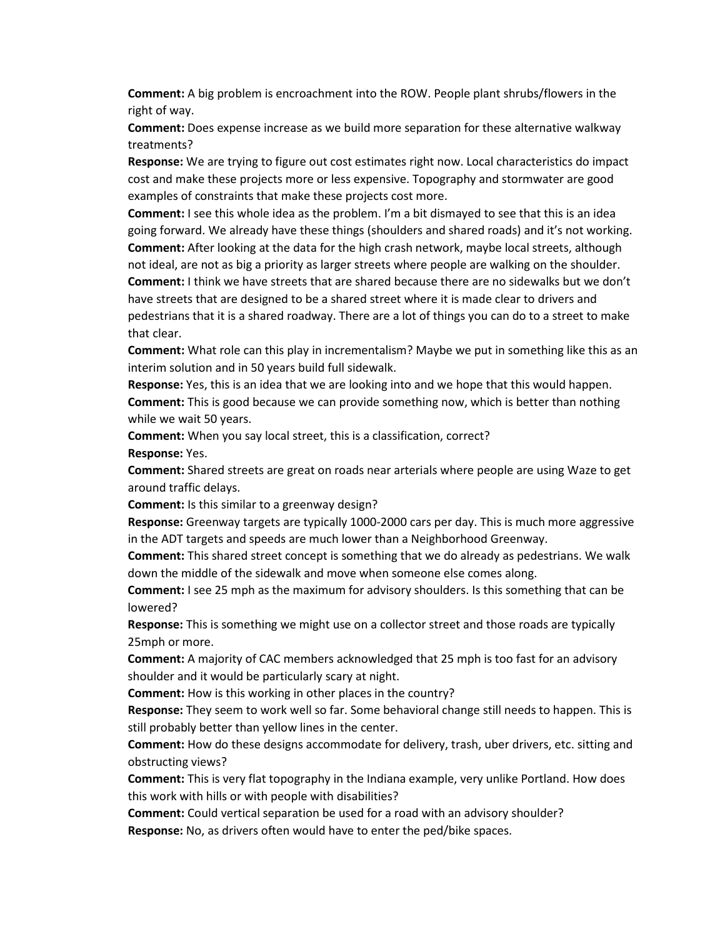**Comment:** A big problem is encroachment into the ROW. People plant shrubs/flowers in the right of way.

**Comment:** Does expense increase as we build more separation for these alternative walkway treatments?

**Response:** We are trying to figure out cost estimates right now. Local characteristics do impact cost and make these projects more or less expensive. Topography and stormwater are good examples of constraints that make these projects cost more.

**Comment:** I see this whole idea as the problem. I'm a bit dismayed to see that this is an idea going forward. We already have these things (shoulders and shared roads) and it's not working. **Comment:** After looking at the data for the high crash network, maybe local streets, although not ideal, are not as big a priority as larger streets where people are walking on the shoulder. **Comment:** I think we have streets that are shared because there are no sidewalks but we don't have streets that are designed to be a shared street where it is made clear to drivers and pedestrians that it is a shared roadway. There are a lot of things you can do to a street to make that clear.

**Comment:** What role can this play in incrementalism? Maybe we put in something like this as an interim solution and in 50 years build full sidewalk.

**Response:** Yes, this is an idea that we are looking into and we hope that this would happen. **Comment:** This is good because we can provide something now, which is better than nothing while we wait 50 years.

**Comment:** When you say local street, this is a classification, correct?

**Response:** Yes.

**Comment:** Shared streets are great on roads near arterials where people are using Waze to get around traffic delays.

**Comment:** Is this similar to a greenway design?

**Response:** Greenway targets are typically 1000-2000 cars per day. This is much more aggressive in the ADT targets and speeds are much lower than a Neighborhood Greenway.

**Comment:** This shared street concept is something that we do already as pedestrians. We walk down the middle of the sidewalk and move when someone else comes along.

**Comment:** I see 25 mph as the maximum for advisory shoulders. Is this something that can be lowered?

**Response:** This is something we might use on a collector street and those roads are typically 25mph or more.

**Comment:** A majority of CAC members acknowledged that 25 mph is too fast for an advisory shoulder and it would be particularly scary at night.

**Comment:** How is this working in other places in the country?

**Response:** They seem to work well so far. Some behavioral change still needs to happen. This is still probably better than yellow lines in the center.

**Comment:** How do these designs accommodate for delivery, trash, uber drivers, etc. sitting and obstructing views?

**Comment:** This is very flat topography in the Indiana example, very unlike Portland. How does this work with hills or with people with disabilities?

**Comment:** Could vertical separation be used for a road with an advisory shoulder? **Response:** No, as drivers often would have to enter the ped/bike spaces.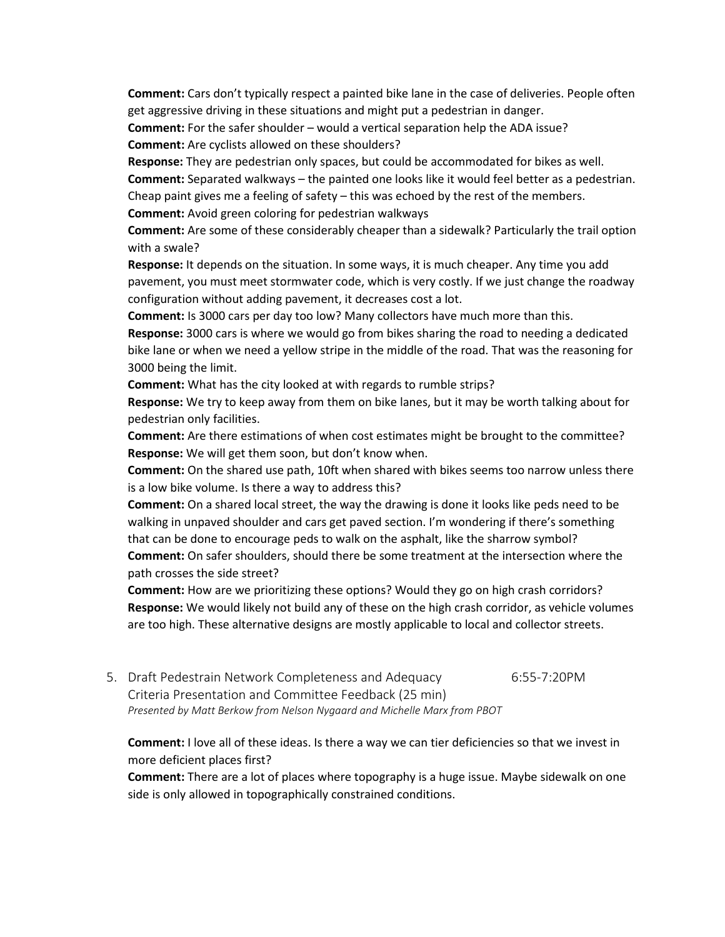**Comment:** Cars don't typically respect a painted bike lane in the case of deliveries. People often get aggressive driving in these situations and might put a pedestrian in danger.

**Comment:** For the safer shoulder – would a vertical separation help the ADA issue? **Comment:** Are cyclists allowed on these shoulders?

**Response:** They are pedestrian only spaces, but could be accommodated for bikes as well.

**Comment:** Separated walkways – the painted one looks like it would feel better as a pedestrian. Cheap paint gives me a feeling of safety  $-$  this was echoed by the rest of the members.

**Comment:** Avoid green coloring for pedestrian walkways

**Comment:** Are some of these considerably cheaper than a sidewalk? Particularly the trail option with a swale?

**Response:** It depends on the situation. In some ways, it is much cheaper. Any time you add pavement, you must meet stormwater code, which is very costly. If we just change the roadway configuration without adding pavement, it decreases cost a lot.

**Comment:** Is 3000 cars per day too low? Many collectors have much more than this.

**Response:** 3000 cars is where we would go from bikes sharing the road to needing a dedicated bike lane or when we need a yellow stripe in the middle of the road. That was the reasoning for 3000 being the limit.

**Comment:** What has the city looked at with regards to rumble strips?

**Response:** We try to keep away from them on bike lanes, but it may be worth talking about for pedestrian only facilities.

**Comment:** Are there estimations of when cost estimates might be brought to the committee? **Response:** We will get them soon, but don't know when.

**Comment:** On the shared use path, 10ft when shared with bikes seems too narrow unless there is a low bike volume. Is there a way to address this?

**Comment:** On a shared local street, the way the drawing is done it looks like peds need to be walking in unpaved shoulder and cars get paved section. I'm wondering if there's something that can be done to encourage peds to walk on the asphalt, like the sharrow symbol? **Comment:** On safer shoulders, should there be some treatment at the intersection where the path crosses the side street?

**Comment:** How are we prioritizing these options? Would they go on high crash corridors? **Response:** We would likely not build any of these on the high crash corridor, as vehicle volumes are too high. These alternative designs are mostly applicable to local and collector streets.

5. Draft Pedestrain Network Completeness and Adequacy 6:55-7:20PM Criteria Presentation and Committee Feedback (25 min) *Presented by Matt Berkow from Nelson Nygaard and Michelle Marx from PBOT*

**Comment:** I love all of these ideas. Is there a way we can tier deficiencies so that we invest in more deficient places first?

**Comment:** There are a lot of places where topography is a huge issue. Maybe sidewalk on one side is only allowed in topographically constrained conditions.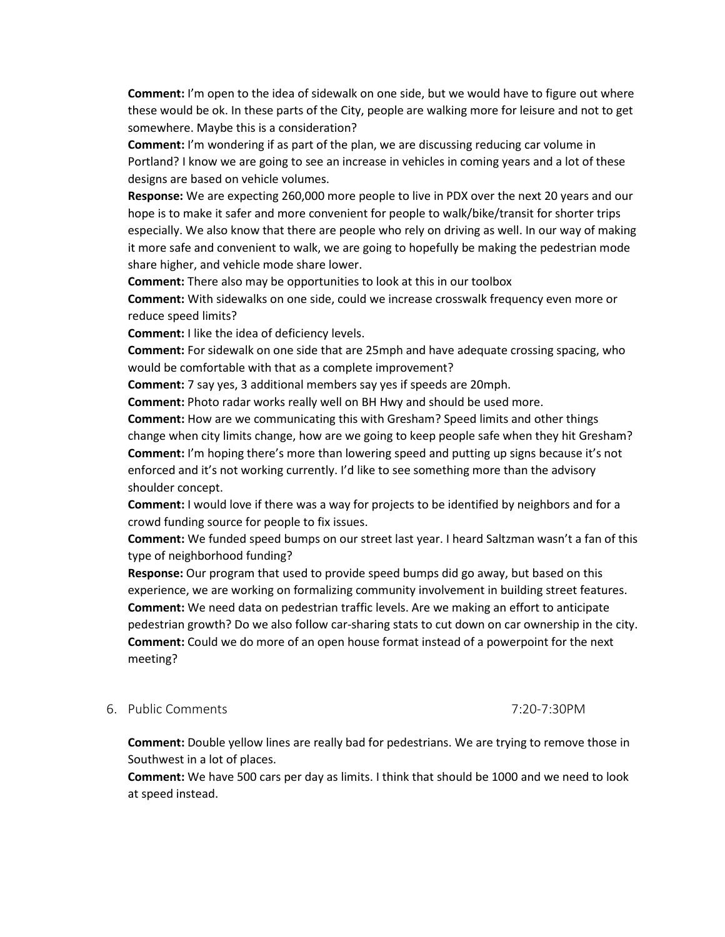**Comment:** I'm open to the idea of sidewalk on one side, but we would have to figure out where these would be ok. In these parts of the City, people are walking more for leisure and not to get somewhere. Maybe this is a consideration?

**Comment:** I'm wondering if as part of the plan, we are discussing reducing car volume in Portland? I know we are going to see an increase in vehicles in coming years and a lot of these designs are based on vehicle volumes.

**Response:** We are expecting 260,000 more people to live in PDX over the next 20 years and our hope is to make it safer and more convenient for people to walk/bike/transit for shorter trips especially. We also know that there are people who rely on driving as well. In our way of making it more safe and convenient to walk, we are going to hopefully be making the pedestrian mode share higher, and vehicle mode share lower.

**Comment:** There also may be opportunities to look at this in our toolbox

**Comment:** With sidewalks on one side, could we increase crosswalk frequency even more or reduce speed limits?

**Comment:** I like the idea of deficiency levels.

**Comment:** For sidewalk on one side that are 25mph and have adequate crossing spacing, who would be comfortable with that as a complete improvement?

**Comment:** 7 say yes, 3 additional members say yes if speeds are 20mph.

**Comment:** Photo radar works really well on BH Hwy and should be used more.

**Comment:** How are we communicating this with Gresham? Speed limits and other things change when city limits change, how are we going to keep people safe when they hit Gresham? **Comment:** I'm hoping there's more than lowering speed and putting up signs because it's not enforced and it's not working currently. I'd like to see something more than the advisory shoulder concept.

**Comment:** I would love if there was a way for projects to be identified by neighbors and for a crowd funding source for people to fix issues.

**Comment:** We funded speed bumps on our street last year. I heard Saltzman wasn't a fan of this type of neighborhood funding?

**Response:** Our program that used to provide speed bumps did go away, but based on this experience, we are working on formalizing community involvement in building street features. **Comment:** We need data on pedestrian traffic levels. Are we making an effort to anticipate pedestrian growth? Do we also follow car-sharing stats to cut down on car ownership in the city. **Comment:** Could we do more of an open house format instead of a powerpoint for the next meeting?

#### 6. Public Comments 7:20-7:30PM

**Comment:** Double yellow lines are really bad for pedestrians. We are trying to remove those in Southwest in a lot of places.

**Comment:** We have 500 cars per day as limits. I think that should be 1000 and we need to look at speed instead.